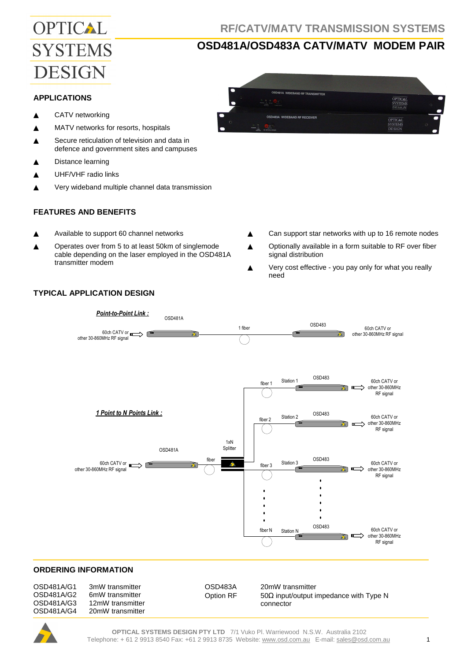# OPTICAL **SYSTEMS DESIGN**

# **OSD481A/OSD483A CATV/MATV MODEM PAIR**

#### **APPLICATIONS**

- ▲ CATV networking
- ▲ MATV networks for resorts, hospitals
- ▲ Secure reticulation of television and data in defence and government sites and campuses
- ▲ Distance learning
- ▲ UHF/VHF radio links
- Very wideband multiple channel data transmission

### **FEATURES AND BENEFITS**

- ▲ Available to support 60 channel networks
- ▲ Operates over from 5 to at least 50km of singlemode cable depending on the laser employed in the OSD481A transmitter modem

.<br>OSD481A WIDEBAND RF TRANSMITTER **OPTICAL**<br>SYSTEMS OSD483A WIDEBAND RF RECEIVER **OPTICAL**<br>SYSTEMS<br>DESIGN

- ▲ Can support star networks with up to 16 remote nodes
- ▲ Optionally available in a form suitable to RF over fiber signal distribution
- Very cost effective you pay only for what you really need



#### **ORDERING INFORMATION**

| OSD481A/G1<br>3mW transmitter<br>OSD481A/G2<br>6mW transmitter<br>OSD481A/G3<br>12mW transmitter<br>OSD481A/G4<br>20mW transmitter | OSD483A<br>Option RF | 20mW transmitter<br>50 $\Omega$ input/output impedance with Type N<br>connector |
|------------------------------------------------------------------------------------------------------------------------------------|----------------------|---------------------------------------------------------------------------------|
|------------------------------------------------------------------------------------------------------------------------------------|----------------------|---------------------------------------------------------------------------------|

## **TYPICAL APPLICATION DESIGN**